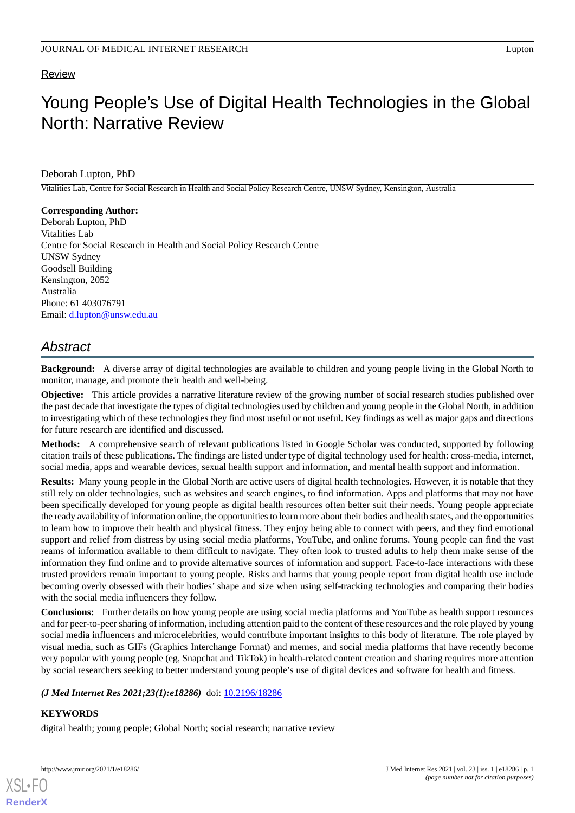## **Review**

# Young People's Use of Digital Health Technologies in the Global North: Narrative Review

Deborah Lupton, PhD

Vitalities Lab, Centre for Social Research in Health and Social Policy Research Centre, UNSW Sydney, Kensington, Australia

#### **Corresponding Author:**

Deborah Lupton, PhD Vitalities Lab Centre for Social Research in Health and Social Policy Research Centre UNSW Sydney Goodsell Building Kensington, 2052 Australia Phone: 61 403076791 Email: [d.lupton@unsw.edu.au](mailto:d.lupton@unsw.edu.au)

## *Abstract*

**Background:** A diverse array of digital technologies are available to children and young people living in the Global North to monitor, manage, and promote their health and well-being.

**Objective:** This article provides a narrative literature review of the growing number of social research studies published over the past decade that investigate the types of digital technologies used by children and young people in the Global North, in addition to investigating which of these technologies they find most useful or not useful. Key findings as well as major gaps and directions for future research are identified and discussed.

**Methods:** A comprehensive search of relevant publications listed in Google Scholar was conducted, supported by following citation trails of these publications. The findings are listed under type of digital technology used for health: cross-media, internet, social media, apps and wearable devices, sexual health support and information, and mental health support and information.

**Results:** Many young people in the Global North are active users of digital health technologies. However, it is notable that they still rely on older technologies, such as websites and search engines, to find information. Apps and platforms that may not have been specifically developed for young people as digital health resources often better suit their needs. Young people appreciate the ready availability of information online, the opportunities to learn more about their bodies and health states, and the opportunities to learn how to improve their health and physical fitness. They enjoy being able to connect with peers, and they find emotional support and relief from distress by using social media platforms, YouTube, and online forums. Young people can find the vast reams of information available to them difficult to navigate. They often look to trusted adults to help them make sense of the information they find online and to provide alternative sources of information and support. Face-to-face interactions with these trusted providers remain important to young people. Risks and harms that young people report from digital health use include becoming overly obsessed with their bodies' shape and size when using self-tracking technologies and comparing their bodies with the social media influencers they follow.

**Conclusions:** Further details on how young people are using social media platforms and YouTube as health support resources and for peer-to-peer sharing of information, including attention paid to the content of these resources and the role played by young social media influencers and microcelebrities, would contribute important insights to this body of literature. The role played by visual media, such as GIFs (Graphics Interchange Format) and memes, and social media platforms that have recently become very popular with young people (eg, Snapchat and TikTok) in health-related content creation and sharing requires more attention by social researchers seeking to better understand young people's use of digital devices and software for health and fitness.

#### (*J Med Internet Res 2021;23(1):e18286*) doi: [10.2196/18286](http://dx.doi.org/10.2196/18286)

## **KEYWORDS**

[XSL](http://www.w3.org/Style/XSL)•FO **[RenderX](http://www.renderx.com/)**

digital health; young people; Global North; social research; narrative review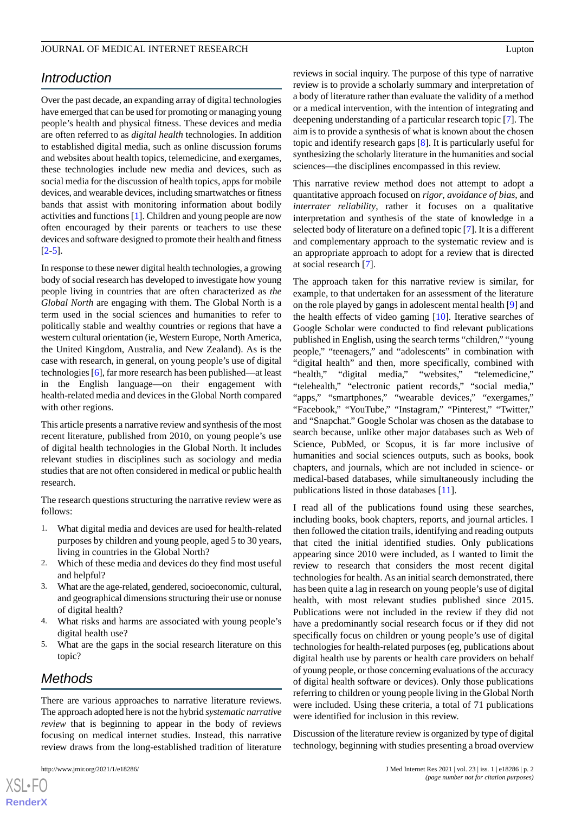## *Introduction*

Over the past decade, an expanding array of digital technologies have emerged that can be used for promoting or managing young people's health and physical fitness. These devices and media are often referred to as *digital health* technologies. In addition to established digital media, such as online discussion forums and websites about health topics, telemedicine, and exergames, these technologies include new media and devices, such as social media for the discussion of health topics, apps for mobile devices, and wearable devices, including smartwatches or fitness bands that assist with monitoring information about bodily activities and functions [\[1](#page-7-0)]. Children and young people are now often encouraged by their parents or teachers to use these devices and software designed to promote their health and fitness  $[2-5]$  $[2-5]$  $[2-5]$  $[2-5]$ .

In response to these newer digital health technologies, a growing body of social research has developed to investigate how young people living in countries that are often characterized as *the Global North* are engaging with them. The Global North is a term used in the social sciences and humanities to refer to politically stable and wealthy countries or regions that have a western cultural orientation (ie, Western Europe, North America, the United Kingdom, Australia, and New Zealand). As is the case with research, in general, on young people's use of digital technologies [[6\]](#page-7-3), far more research has been published—at least in the English language—on their engagement with health-related media and devices in the Global North compared with other regions.

This article presents a narrative review and synthesis of the most recent literature, published from 2010, on young people's use of digital health technologies in the Global North. It includes relevant studies in disciplines such as sociology and media studies that are not often considered in medical or public health research.

The research questions structuring the narrative review were as follows:

- 1. What digital media and devices are used for health-related purposes by children and young people, aged 5 to 30 years, living in countries in the Global North?
- 2. Which of these media and devices do they find most useful and helpful?
- 3. What are the age-related, gendered, socioeconomic, cultural, and geographical dimensions structuring their use or nonuse of digital health?
- 4. What risks and harms are associated with young people's digital health use?
- 5. What are the gaps in the social research literature on this topic?

## *Methods*

There are various approaches to narrative literature reviews. The approach adopted here is not the hybrid *systematic narrative review* that is beginning to appear in the body of reviews focusing on medical internet studies. Instead, this narrative review draws from the long-established tradition of literature

reviews in social inquiry. The purpose of this type of narrative review is to provide a scholarly summary and interpretation of a body of literature rather than evaluate the validity of a method or a medical intervention, with the intention of integrating and deepening understanding of a particular research topic [\[7](#page-7-4)]. The aim is to provide a synthesis of what is known about the chosen topic and identify research gaps [[8](#page-7-5)]. It is particularly useful for synthesizing the scholarly literature in the humanities and social sciences—the disciplines encompassed in this review.

This narrative review method does not attempt to adopt a quantitative approach focused on *rigor*, *avoidance of bias*, and *interrater reliability*, rather it focuses on a qualitative interpretation and synthesis of the state of knowledge in a selected body of literature on a defined topic [[7\]](#page-7-4). It is a different and complementary approach to the systematic review and is an appropriate approach to adopt for a review that is directed at social research [\[7](#page-7-4)].

The approach taken for this narrative review is similar, for example, to that undertaken for an assessment of the literature on the role played by gangs in adolescent mental health [[9\]](#page-7-6) and the health effects of video gaming [\[10](#page-7-7)]. Iterative searches of Google Scholar were conducted to find relevant publications published in English, using the search terms "children," "young people," "teenagers," and "adolescents" in combination with "digital health" and then, more specifically, combined with "health," "digital media," "websites," "telemedicine," "telehealth," "electronic patient records," "social media," "apps," "smartphones," "wearable devices," "exergames," "Facebook," "YouTube," "Instagram," "Pinterest," "Twitter," and "Snapchat." Google Scholar was chosen as the database to search because, unlike other major databases such as Web of Science, PubMed, or Scopus, it is far more inclusive of humanities and social sciences outputs, such as books, book chapters, and journals, which are not included in science- or medical-based databases, while simultaneously including the publications listed in those databases [\[11](#page-7-8)].

I read all of the publications found using these searches, including books, book chapters, reports, and journal articles. I then followed the citation trails, identifying and reading outputs that cited the initial identified studies. Only publications appearing since 2010 were included, as I wanted to limit the review to research that considers the most recent digital technologies for health. As an initial search demonstrated, there has been quite a lag in research on young people's use of digital health, with most relevant studies published since 2015. Publications were not included in the review if they did not have a predominantly social research focus or if they did not specifically focus on children or young people's use of digital technologies for health-related purposes (eg, publications about digital health use by parents or health care providers on behalf of young people, or those concerning evaluations of the accuracy of digital health software or devices). Only those publications referring to children or young people living in the Global North were included. Using these criteria, a total of 71 publications were identified for inclusion in this review.

Discussion of the literature review is organized by type of digital technology, beginning with studies presenting a broad overview

```
XS-FO
RenderX
```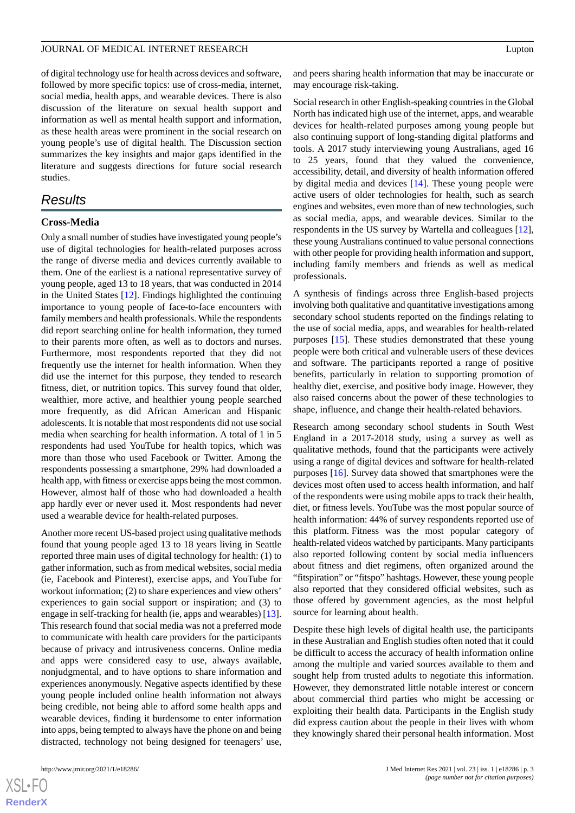of digital technology use for health across devices and software, followed by more specific topics: use of cross-media, internet, social media, health apps, and wearable devices. There is also discussion of the literature on sexual health support and information as well as mental health support and information, as these health areas were prominent in the social research on young people's use of digital health. The Discussion section summarizes the key insights and major gaps identified in the literature and suggests directions for future social research studies.

## *Results*

## **Cross-Media**

Only a small number of studies have investigated young people's use of digital technologies for health-related purposes across the range of diverse media and devices currently available to them. One of the earliest is a national representative survey of young people, aged 13 to 18 years, that was conducted in 2014 in the United States [[12\]](#page-7-9). Findings highlighted the continuing importance to young people of face-to-face encounters with family members and health professionals. While the respondents did report searching online for health information, they turned to their parents more often, as well as to doctors and nurses. Furthermore, most respondents reported that they did not frequently use the internet for health information. When they did use the internet for this purpose, they tended to research fitness, diet, or nutrition topics. This survey found that older, wealthier, more active, and healthier young people searched more frequently, as did African American and Hispanic adolescents. It is notable that most respondents did not use social media when searching for health information. A total of 1 in 5 respondents had used YouTube for health topics, which was more than those who used Facebook or Twitter. Among the respondents possessing a smartphone, 29% had downloaded a health app, with fitness or exercise apps being the most common. However, almost half of those who had downloaded a health app hardly ever or never used it. Most respondents had never used a wearable device for health-related purposes.

Another more recent US-based project using qualitative methods found that young people aged 13 to 18 years living in Seattle reported three main uses of digital technology for health: (1) to gather information, such as from medical websites, social media (ie, Facebook and Pinterest), exercise apps, and YouTube for workout information; (2) to share experiences and view others' experiences to gain social support or inspiration; and (3) to engage in self-tracking for health (ie, apps and wearables) [[13\]](#page-7-10). This research found that social media was not a preferred mode to communicate with health care providers for the participants because of privacy and intrusiveness concerns. Online media and apps were considered easy to use, always available, nonjudgmental, and to have options to share information and experiences anonymously. Negative aspects identified by these young people included online health information not always being credible, not being able to afford some health apps and wearable devices, finding it burdensome to enter information into apps, being tempted to always have the phone on and being distracted, technology not being designed for teenagers' use,

and peers sharing health information that may be inaccurate or may encourage risk-taking.

Social research in other English-speaking countries in the Global North has indicated high use of the internet, apps, and wearable devices for health-related purposes among young people but also continuing support of long-standing digital platforms and tools. A 2017 study interviewing young Australians, aged 16 to 25 years, found that they valued the convenience, accessibility, detail, and diversity of health information offered by digital media and devices [\[14](#page-7-11)]. These young people were active users of older technologies for health, such as search engines and websites, even more than of new technologies, such as social media, apps, and wearable devices. Similar to the respondents in the US survey by Wartella and colleagues [[12\]](#page-7-9), these young Australians continued to value personal connections with other people for providing health information and support, including family members and friends as well as medical professionals.

A synthesis of findings across three English-based projects involving both qualitative and quantitative investigations among secondary school students reported on the findings relating to the use of social media, apps, and wearables for health-related purposes [[15\]](#page-7-12). These studies demonstrated that these young people were both critical and vulnerable users of these devices and software. The participants reported a range of positive benefits, particularly in relation to supporting promotion of healthy diet, exercise, and positive body image. However, they also raised concerns about the power of these technologies to shape, influence, and change their health-related behaviors.

Research among secondary school students in South West England in a 2017-2018 study, using a survey as well as qualitative methods, found that the participants were actively using a range of digital devices and software for health-related purposes [\[16](#page-7-13)]. Survey data showed that smartphones were the devices most often used to access health information, and half of the respondents were using mobile apps to track their health, diet, or fitness levels. YouTube was the most popular source of health information: 44% of survey respondents reported use of this platform. Fitness was the most popular category of health-related videos watched by participants. Many participants also reported following content by social media influencers about fitness and diet regimens, often organized around the "fitspiration" or "fitspo" hashtags. However, these young people also reported that they considered official websites, such as those offered by government agencies, as the most helpful source for learning about health.

Despite these high levels of digital health use, the participants in these Australian and English studies often noted that it could be difficult to access the accuracy of health information online among the multiple and varied sources available to them and sought help from trusted adults to negotiate this information. However, they demonstrated little notable interest or concern about commercial third parties who might be accessing or exploiting their health data. Participants in the English study did express caution about the people in their lives with whom they knowingly shared their personal health information. Most

```
XS\cdotFC
RenderX
```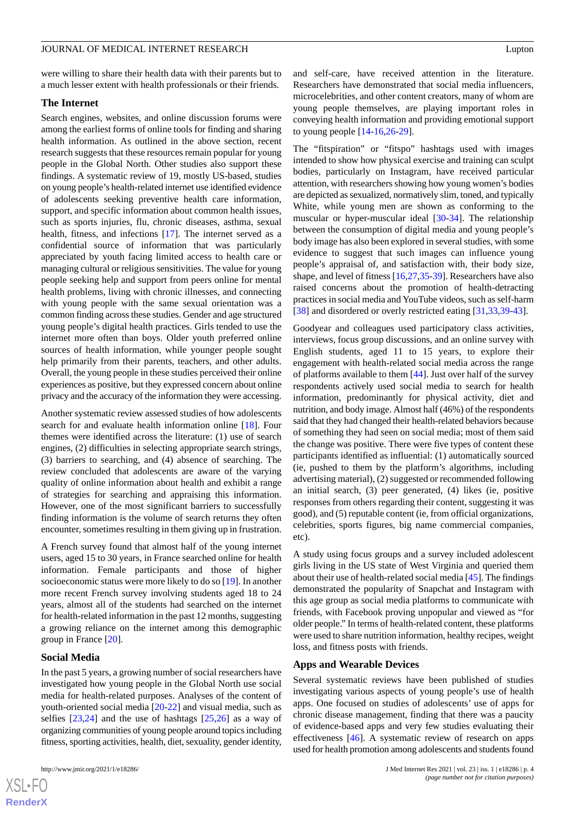were willing to share their health data with their parents but to a much lesser extent with health professionals or their friends.

#### **The Internet**

Search engines, websites, and online discussion forums were among the earliest forms of online tools for finding and sharing health information. As outlined in the above section, recent research suggests that these resources remain popular for young people in the Global North. Other studies also support these findings. A systematic review of 19, mostly US-based, studies on young people's health-related internet use identified evidence of adolescents seeking preventive health care information, support, and specific information about common health issues, such as sports injuries, flu, chronic diseases, asthma, sexual health, fitness, and infections [\[17](#page-7-14)]. The internet served as a confidential source of information that was particularly appreciated by youth facing limited access to health care or managing cultural or religious sensitivities. The value for young people seeking help and support from peers online for mental health problems, living with chronic illnesses, and connecting with young people with the same sexual orientation was a common finding across these studies. Gender and age structured young people's digital health practices. Girls tended to use the internet more often than boys. Older youth preferred online sources of health information, while younger people sought help primarily from their parents, teachers, and other adults. Overall, the young people in these studies perceived their online experiences as positive, but they expressed concern about online privacy and the accuracy of the information they were accessing.

Another systematic review assessed studies of how adolescents search for and evaluate health information online [\[18](#page-7-15)]. Four themes were identified across the literature: (1) use of search engines, (2) difficulties in selecting appropriate search strings, (3) barriers to searching, and (4) absence of searching. The review concluded that adolescents are aware of the varying quality of online information about health and exhibit a range of strategies for searching and appraising this information. However, one of the most significant barriers to successfully finding information is the volume of search returns they often encounter, sometimes resulting in them giving up in frustration.

A French survey found that almost half of the young internet users, aged 15 to 30 years, in France searched online for health information. Female participants and those of higher socioeconomic status were more likely to do so [[19\]](#page-7-16). In another more recent French survey involving students aged 18 to 24 years, almost all of the students had searched on the internet for health-related information in the past 12 months, suggesting a growing reliance on the internet among this demographic group in France [[20\]](#page-7-17).

#### **Social Media**

In the past 5 years, a growing number of social researchers have investigated how young people in the Global North use social media for health-related purposes. Analyses of the content of youth-oriented social media [\[20](#page-7-17)-[22\]](#page-7-18) and visual media, such as selfies [\[23](#page-7-19),[24\]](#page-7-20) and the use of hashtags [[25](#page-7-21)[,26](#page-7-22)] as a way of organizing communities of young people around topics including fitness, sporting activities, health, diet, sexuality, gender identity,

 $XS$  $\cdot$ FC **[RenderX](http://www.renderx.com/)** and self-care, have received attention in the literature. Researchers have demonstrated that social media influencers, microcelebrities, and other content creators, many of whom are young people themselves, are playing important roles in conveying health information and providing emotional support to young people [[14](#page-7-11)[-16](#page-7-13),[26-](#page-7-22)[29](#page-8-0)].

The "fitspiration" or "fitspo" hashtags used with images intended to show how physical exercise and training can sculpt bodies, particularly on Instagram, have received particular attention, with researchers showing how young women's bodies are depicted as sexualized, normatively slim, toned, and typically White, while young men are shown as conforming to the muscular or hyper-muscular ideal [[30](#page-8-1)[-34](#page-8-2)]. The relationship between the consumption of digital media and young people's body image has also been explored in several studies, with some evidence to suggest that such images can influence young people's appraisal of, and satisfaction with, their body size, shape, and level of fitness [[16](#page-7-13)[,27](#page-7-23),[35-](#page-8-3)[39](#page-8-4)]. Researchers have also raised concerns about the promotion of health-detracting practices in social media and YouTube videos, such as self-harm [[38\]](#page-8-5) and disordered or overly restricted eating [\[31](#page-8-6),[33,](#page-8-7)[39](#page-8-4)[-43](#page-8-8)].

Goodyear and colleagues used participatory class activities, interviews, focus group discussions, and an online survey with English students, aged 11 to 15 years, to explore their engagement with health-related social media across the range of platforms available to them [\[44](#page-8-9)]. Just over half of the survey respondents actively used social media to search for health information, predominantly for physical activity, diet and nutrition, and body image. Almost half (46%) of the respondents said that they had changed their health-related behaviors because of something they had seen on social media; most of them said the change was positive. There were five types of content these participants identified as influential: (1) automatically sourced (ie, pushed to them by the platform's algorithms, including advertising material), (2) suggested or recommended following an initial search, (3) peer generated, (4) likes (ie, positive responses from others regarding their content, suggesting it was good), and (5) reputable content (ie, from official organizations, celebrities, sports figures, big name commercial companies, etc).

A study using focus groups and a survey included adolescent girls living in the US state of West Virginia and queried them about their use of health-related social media [\[45](#page-8-10)]. The findings demonstrated the popularity of Snapchat and Instagram with this age group as social media platforms to communicate with friends, with Facebook proving unpopular and viewed as "for older people." In terms of health-related content, these platforms were used to share nutrition information, healthy recipes, weight loss, and fitness posts with friends.

#### **Apps and Wearable Devices**

Several systematic reviews have been published of studies investigating various aspects of young people's use of health apps. One focused on studies of adolescents' use of apps for chronic disease management, finding that there was a paucity of evidence-based apps and very few studies evaluating their effectiveness [[46\]](#page-8-11). A systematic review of research on apps used for health promotion among adolescents and students found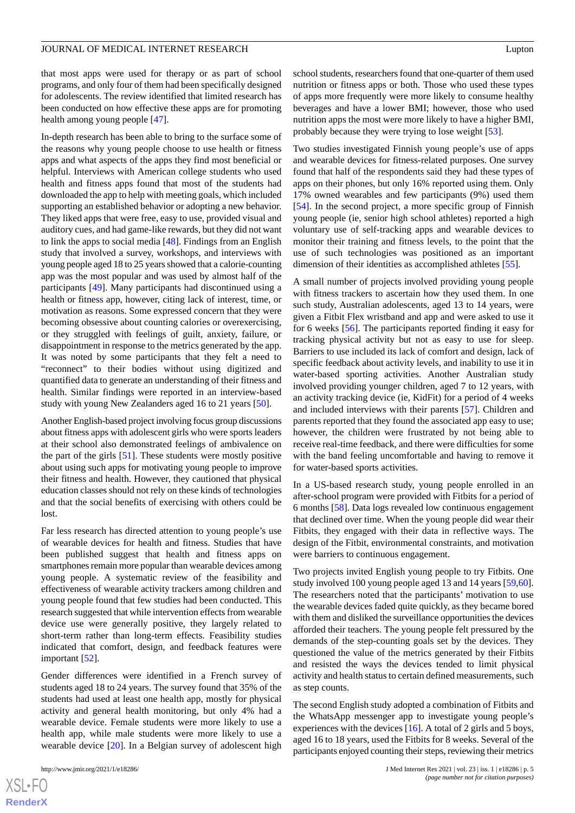that most apps were used for therapy or as part of school programs, and only four of them had been specifically designed for adolescents. The review identified that limited research has been conducted on how effective these apps are for promoting health among young people [\[47](#page-8-12)].

In-depth research has been able to bring to the surface some of the reasons why young people choose to use health or fitness apps and what aspects of the apps they find most beneficial or helpful. Interviews with American college students who used health and fitness apps found that most of the students had downloaded the app to help with meeting goals, which included supporting an established behavior or adopting a new behavior. They liked apps that were free, easy to use, provided visual and auditory cues, and had game-like rewards, but they did not want to link the apps to social media [[48\]](#page-8-13). Findings from an English study that involved a survey, workshops, and interviews with young people aged 18 to 25 years showed that a calorie-counting app was the most popular and was used by almost half of the participants [[49\]](#page-8-14). Many participants had discontinued using a health or fitness app, however, citing lack of interest, time, or motivation as reasons. Some expressed concern that they were becoming obsessive about counting calories or overexercising, or they struggled with feelings of guilt, anxiety, failure, or disappointment in response to the metrics generated by the app. It was noted by some participants that they felt a need to "reconnect" to their bodies without using digitized and quantified data to generate an understanding of their fitness and health. Similar findings were reported in an interview-based study with young New Zealanders aged 16 to 21 years [[50\]](#page-8-15).

Another English-based project involving focus group discussions about fitness apps with adolescent girls who were sports leaders at their school also demonstrated feelings of ambivalence on the part of the girls [[51\]](#page-8-16). These students were mostly positive about using such apps for motivating young people to improve their fitness and health. However, they cautioned that physical education classes should not rely on these kinds of technologies and that the social benefits of exercising with others could be lost.

Far less research has directed attention to young people's use of wearable devices for health and fitness. Studies that have been published suggest that health and fitness apps on smartphones remain more popular than wearable devices among young people. A systematic review of the feasibility and effectiveness of wearable activity trackers among children and young people found that few studies had been conducted. This research suggested that while intervention effects from wearable device use were generally positive, they largely related to short-term rather than long-term effects. Feasibility studies indicated that comfort, design, and feedback features were important [\[52](#page-8-17)].

Gender differences were identified in a French survey of students aged 18 to 24 years. The survey found that 35% of the students had used at least one health app, mostly for physical activity and general health monitoring, but only 4% had a wearable device. Female students were more likely to use a health app, while male students were more likely to use a wearable device [\[20](#page-7-17)]. In a Belgian survey of adolescent high

school students, researchers found that one-quarter of them used nutrition or fitness apps or both. Those who used these types of apps more frequently were more likely to consume healthy beverages and have a lower BMI; however, those who used nutrition apps the most were more likely to have a higher BMI, probably because they were trying to lose weight [[53\]](#page-8-18).

Two studies investigated Finnish young people's use of apps and wearable devices for fitness-related purposes. One survey found that half of the respondents said they had these types of apps on their phones, but only 16% reported using them. Only 17% owned wearables and few participants (9%) used them [[54\]](#page-9-0). In the second project, a more specific group of Finnish young people (ie, senior high school athletes) reported a high voluntary use of self-tracking apps and wearable devices to monitor their training and fitness levels, to the point that the use of such technologies was positioned as an important dimension of their identities as accomplished athletes [\[55](#page-9-1)].

A small number of projects involved providing young people with fitness trackers to ascertain how they used them. In one such study, Australian adolescents, aged 13 to 14 years, were given a Fitbit Flex wristband and app and were asked to use it for 6 weeks [\[56](#page-9-2)]. The participants reported finding it easy for tracking physical activity but not as easy to use for sleep. Barriers to use included its lack of comfort and design, lack of specific feedback about activity levels, and inability to use it in water-based sporting activities. Another Australian study involved providing younger children, aged 7 to 12 years, with an activity tracking device (ie, KidFit) for a period of 4 weeks and included interviews with their parents [\[57](#page-9-3)]. Children and parents reported that they found the associated app easy to use; however, the children were frustrated by not being able to receive real-time feedback, and there were difficulties for some with the band feeling uncomfortable and having to remove it for water-based sports activities.

In a US-based research study, young people enrolled in an after-school program were provided with Fitbits for a period of 6 months [\[58](#page-9-4)]. Data logs revealed low continuous engagement that declined over time. When the young people did wear their Fitbits, they engaged with their data in reflective ways. The design of the Fitbit, environmental constraints, and motivation were barriers to continuous engagement.

Two projects invited English young people to try Fitbits. One study involved 100 young people aged 13 and 14 years [\[59](#page-9-5),[60\]](#page-9-6). The researchers noted that the participants' motivation to use the wearable devices faded quite quickly, as they became bored with them and disliked the surveillance opportunities the devices afforded their teachers. The young people felt pressured by the demands of the step-counting goals set by the devices. They questioned the value of the metrics generated by their Fitbits and resisted the ways the devices tended to limit physical activity and health status to certain defined measurements, such as step counts.

The second English study adopted a combination of Fitbits and the WhatsApp messenger app to investigate young people's experiences with the devices  $[16]$  $[16]$ . A total of 2 girls and 5 boys, aged 16 to 18 years, used the Fitbits for 8 weeks. Several of the participants enjoyed counting their steps, reviewing their metrics

```
XS-FO
RenderX
```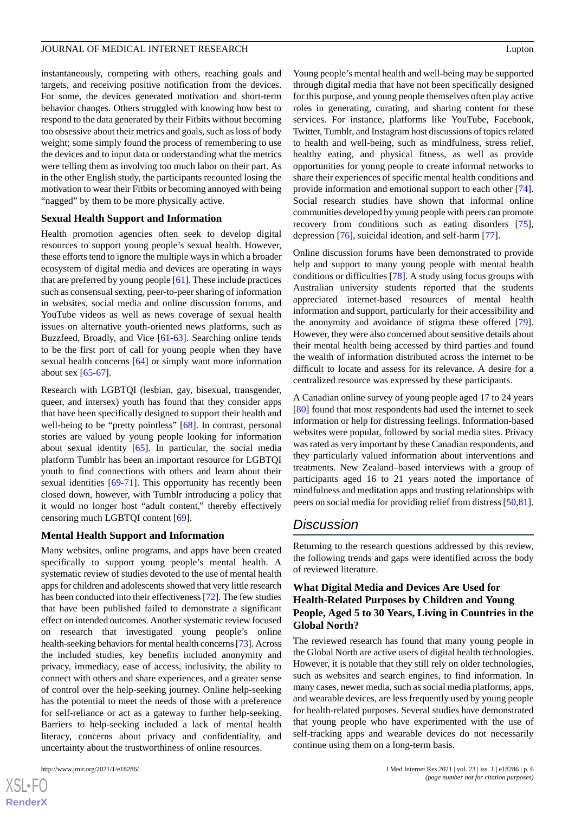instantaneously, competing with others, reaching goals and targets, and receiving positive notification from the devices. For some, the devices generated motivation and short-term behavior changes. Others struggled with knowing how best to respond to the data generated by their Fitbits without becoming too obsessive about their metrics and goals, such as loss of body weight; some simply found the process of remembering to use the devices and to input data or understanding what the metrics were telling them as involving too much labor on their part. As in the other English study, the participants recounted losing the motivation to wear their Fitbits or becoming annoyed with being "nagged" by them to be more physically active.

#### **Sexual Health Support and Information**

Health promotion agencies often seek to develop digital resources to support young people's sexual health. However, these efforts tend to ignore the multiple ways in which a broader ecosystem of digital media and devices are operating in ways that are preferred by young people [\[61\]](#page-9-7). These include practices such as consensual sexting, peer-to-peer sharing of information in websites, social media and online discussion forums, and YouTube videos as well as news coverage of sexual health issues on alternative youth-oriented news platforms, such as Buzzfeed, Broadly, and Vice [\[61](#page-9-7)-[63\]](#page-9-8). Searching online tends to be the first port of call for young people when they have sexual health concerns [\[64](#page-9-9)] or simply want more information about sex  $[65-67]$  $[65-67]$  $[65-67]$ .

Research with LGBTQI (lesbian, gay, bisexual, transgender, queer, and intersex) youth has found that they consider apps that have been specifically designed to support their health and well-being to be "pretty pointless" [[68\]](#page-9-12). In contrast, personal stories are valued by young people looking for information about sexual identity [\[65](#page-9-10)]. In particular, the social media platform Tumblr has been an important resource for LGBTQI youth to find connections with others and learn about their sexual identities [\[69](#page-9-13)-[71\]](#page-9-14). This opportunity has recently been closed down, however, with Tumblr introducing a policy that it would no longer host "adult content," thereby effectively censoring much LGBTQI content [\[69](#page-9-13)].

#### **Mental Health Support and Information**

Many websites, online programs, and apps have been created specifically to support young people's mental health. A systematic review of studies devoted to the use of mental health apps for children and adolescents showed that very little research has been conducted into their effectiveness [\[72](#page-9-15)]. The few studies that have been published failed to demonstrate a significant effect on intended outcomes. Another systematic review focused on research that investigated young people's online health-seeking behaviors for mental health concerns [\[73](#page-9-16)]. Across the included studies, key benefits included anonymity and privacy, immediacy, ease of access, inclusivity, the ability to connect with others and share experiences, and a greater sense of control over the help-seeking journey. Online help-seeking has the potential to meet the needs of those with a preference for self-reliance or act as a gateway to further help-seeking. Barriers to help-seeking included a lack of mental health literacy, concerns about privacy and confidentiality, and uncertainty about the trustworthiness of online resources.

 $XS$  • FC **[RenderX](http://www.renderx.com/)**

Young people's mental health and well-being may be supported through digital media that have not been specifically designed for this purpose, and young people themselves often play active roles in generating, curating, and sharing content for these services. For instance, platforms like YouTube, Facebook, Twitter, Tumblr, and Instagram host discussions of topics related to health and well-being, such as mindfulness, stress relief, healthy eating, and physical fitness, as well as provide opportunities for young people to create informal networks to share their experiences of specific mental health conditions and provide information and emotional support to each other [[74\]](#page-9-17). Social research studies have shown that informal online communities developed by young people with peers can promote recovery from conditions such as eating disorders [[75\]](#page-9-18), depression [\[76](#page-9-19)], suicidal ideation, and self-harm [\[77](#page-9-20)].

Online discussion forums have been demonstrated to provide help and support to many young people with mental health conditions or difficulties [\[78](#page-10-0)]. A study using focus groups with Australian university students reported that the students appreciated internet-based resources of mental health information and support, particularly for their accessibility and the anonymity and avoidance of stigma these offered [[79\]](#page-10-1). However, they were also concerned about sensitive details about their mental health being accessed by third parties and found the wealth of information distributed across the internet to be difficult to locate and assess for its relevance. A desire for a centralized resource was expressed by these participants.

A Canadian online survey of young people aged 17 to 24 years [[80\]](#page-10-2) found that most respondents had used the internet to seek information or help for distressing feelings. Information-based websites were popular, followed by social media sites. Privacy was rated as very important by these Canadian respondents, and they particularly valued information about interventions and treatments. New Zealand–based interviews with a group of participants aged 16 to 21 years noted the importance of mindfulness and meditation apps and trusting relationships with peers on social media for providing relief from distress [\[50](#page-8-15),[81\]](#page-10-3).

## *Discussion*

Returning to the research questions addressed by this review, the following trends and gaps were identified across the body of reviewed literature.

## **What Digital Media and Devices Are Used for Health-Related Purposes by Children and Young People, Aged 5 to 30 Years, Living in Countries in the Global North?**

The reviewed research has found that many young people in the Global North are active users of digital health technologies. However, it is notable that they still rely on older technologies, such as websites and search engines, to find information. In many cases, newer media, such as social media platforms, apps, and wearable devices, are less frequently used by young people for health-related purposes. Several studies have demonstrated that young people who have experimented with the use of self-tracking apps and wearable devices do not necessarily continue using them on a long-term basis.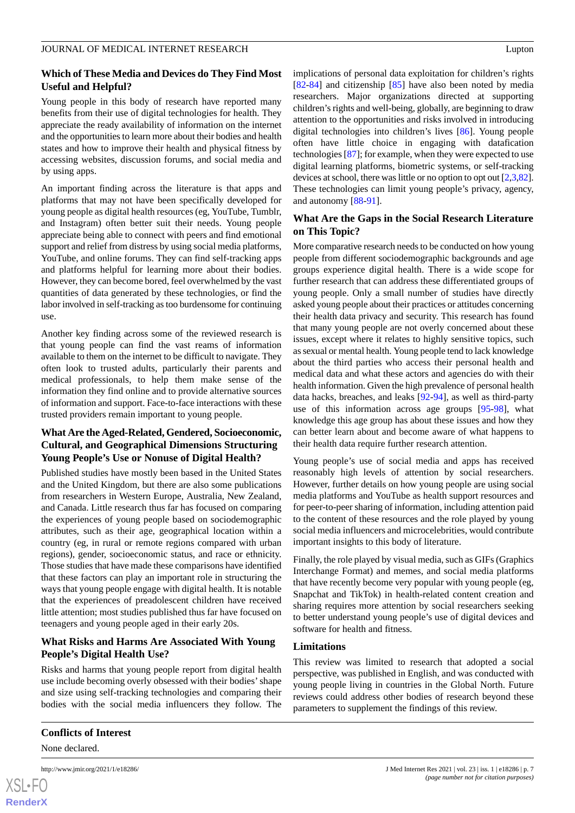## **Which of These Media and Devices do They Find Most Useful and Helpful?**

Young people in this body of research have reported many benefits from their use of digital technologies for health. They appreciate the ready availability of information on the internet and the opportunities to learn more about their bodies and health states and how to improve their health and physical fitness by accessing websites, discussion forums, and social media and by using apps.

An important finding across the literature is that apps and platforms that may not have been specifically developed for young people as digital health resources (eg, YouTube, Tumblr, and Instagram) often better suit their needs. Young people appreciate being able to connect with peers and find emotional support and relief from distress by using social media platforms, YouTube, and online forums. They can find self-tracking apps and platforms helpful for learning more about their bodies. However, they can become bored, feel overwhelmed by the vast quantities of data generated by these technologies, or find the labor involved in self-tracking as too burdensome for continuing use.

Another key finding across some of the reviewed research is that young people can find the vast reams of information available to them on the internet to be difficult to navigate. They often look to trusted adults, particularly their parents and medical professionals, to help them make sense of the information they find online and to provide alternative sources of information and support. Face-to-face interactions with these trusted providers remain important to young people.

## **What Are the Aged-Related, Gendered, Socioeconomic, Cultural, and Geographical Dimensions Structuring Young People's Use or Nonuse of Digital Health?**

Published studies have mostly been based in the United States and the United Kingdom, but there are also some publications from researchers in Western Europe, Australia, New Zealand, and Canada. Little research thus far has focused on comparing the experiences of young people based on sociodemographic attributes, such as their age, geographical location within a country (eg, in rural or remote regions compared with urban regions), gender, socioeconomic status, and race or ethnicity. Those studies that have made these comparisons have identified that these factors can play an important role in structuring the ways that young people engage with digital health. It is notable that the experiences of preadolescent children have received little attention; most studies published thus far have focused on teenagers and young people aged in their early 20s.

## **What Risks and Harms Are Associated With Young People's Digital Health Use?**

Risks and harms that young people report from digital health use include becoming overly obsessed with their bodies' shape and size using self-tracking technologies and comparing their bodies with the social media influencers they follow. The

## **Conflicts of Interest**

None declared.

```
XS\cdotFC
RenderX
```
implications of personal data exploitation for children's rights [[82](#page-10-4)[-84](#page-10-5)] and citizenship [\[85](#page-10-6)] have also been noted by media researchers. Major organizations directed at supporting children's rights and well-being, globally, are beginning to draw attention to the opportunities and risks involved in introducing digital technologies into children's lives [\[86](#page-10-7)]. Young people often have little choice in engaging with datafication technologies [\[87](#page-10-8)]; for example, when they were expected to use digital learning platforms, biometric systems, or self-tracking devices at school, there was little or no option to opt out [[2,](#page-7-1)[3](#page-7-24)[,82](#page-10-4)]. These technologies can limit young people's privacy, agency, and autonomy [\[88](#page-10-9)-[91\]](#page-10-10).

## **What Are the Gaps in the Social Research Literature on This Topic?**

More comparative research needs to be conducted on how young people from different sociodemographic backgrounds and age groups experience digital health. There is a wide scope for further research that can address these differentiated groups of young people. Only a small number of studies have directly asked young people about their practices or attitudes concerning their health data privacy and security. This research has found that many young people are not overly concerned about these issues, except where it relates to highly sensitive topics, such as sexual or mental health. Young people tend to lack knowledge about the third parties who access their personal health and medical data and what these actors and agencies do with their health information. Given the high prevalence of personal health data hacks, breaches, and leaks [[92-](#page-10-11)[94\]](#page-10-12), as well as third-party use of this information across age groups [\[95](#page-10-13)-[98\]](#page-10-14), what knowledge this age group has about these issues and how they can better learn about and become aware of what happens to their health data require further research attention.

Young people's use of social media and apps has received reasonably high levels of attention by social researchers. However, further details on how young people are using social media platforms and YouTube as health support resources and for peer-to-peer sharing of information, including attention paid to the content of these resources and the role played by young social media influencers and microcelebrities, would contribute important insights to this body of literature.

Finally, the role played by visual media, such as GIFs (Graphics Interchange Format) and memes, and social media platforms that have recently become very popular with young people (eg, Snapchat and TikTok) in health-related content creation and sharing requires more attention by social researchers seeking to better understand young people's use of digital devices and software for health and fitness.

#### **Limitations**

This review was limited to research that adopted a social perspective, was published in English, and was conducted with young people living in countries in the Global North. Future reviews could address other bodies of research beyond these parameters to supplement the findings of this review.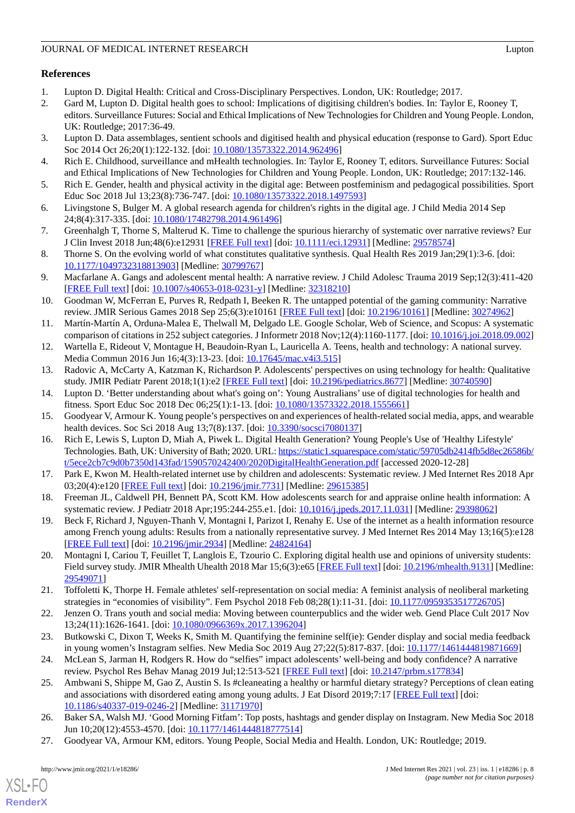## **References**

- <span id="page-7-1"></span><span id="page-7-0"></span>1. Lupton D. Digital Health: Critical and Cross-Disciplinary Perspectives. London, UK: Routledge; 2017.
- 2. Gard M, Lupton D. Digital health goes to school: Implications of digitising children's bodies. In: Taylor E, Rooney T, editors. Surveillance Futures: Social and Ethical Implications of New Technologies for Children and Young People. London, UK: Routledge; 2017:36-49.
- <span id="page-7-24"></span>3. Lupton D. Data assemblages, sentient schools and digitised health and physical education (response to Gard). Sport Educ Soc 2014 Oct 26;20(1):122-132. [doi: [10.1080/13573322.2014.962496\]](http://dx.doi.org/10.1080/13573322.2014.962496)
- <span id="page-7-2"></span>4. Rich E. Childhood, surveillance and mHealth technologies. In: Taylor E, Rooney T, editors. Surveillance Futures: Social and Ethical Implications of New Technologies for Children and Young People. London, UK: Routledge; 2017:132-146.
- <span id="page-7-3"></span>5. Rich E. Gender, health and physical activity in the digital age: Between postfeminism and pedagogical possibilities. Sport Educ Soc 2018 Jul 13;23(8):736-747. [doi: [10.1080/13573322.2018.1497593\]](http://dx.doi.org/10.1080/13573322.2018.1497593)
- <span id="page-7-4"></span>6. Livingstone S, Bulger M. A global research agenda for children's rights in the digital age. J Child Media 2014 Sep 24;8(4):317-335. [doi: [10.1080/17482798.2014.961496\]](http://dx.doi.org/10.1080/17482798.2014.961496)
- <span id="page-7-5"></span>7. Greenhalgh T, Thorne S, Malterud K. Time to challenge the spurious hierarchy of systematic over narrative reviews? Eur J Clin Invest 2018 Jun;48(6):e12931 [[FREE Full text](http://europepmc.org/abstract/MED/29578574)] [doi: [10.1111/eci.12931\]](http://dx.doi.org/10.1111/eci.12931) [Medline: [29578574\]](http://www.ncbi.nlm.nih.gov/entrez/query.fcgi?cmd=Retrieve&db=PubMed&list_uids=29578574&dopt=Abstract)
- <span id="page-7-6"></span>8. Thorne S. On the evolving world of what constitutes qualitative synthesis. Qual Health Res 2019 Jan;29(1):3-6. [doi: [10.1177/1049732318813903\]](http://dx.doi.org/10.1177/1049732318813903) [Medline: [30799767\]](http://www.ncbi.nlm.nih.gov/entrez/query.fcgi?cmd=Retrieve&db=PubMed&list_uids=30799767&dopt=Abstract)
- <span id="page-7-7"></span>9. Macfarlane A. Gangs and adolescent mental health: A narrative review. J Child Adolesc Trauma 2019 Sep;12(3):411-420 [[FREE Full text](http://europepmc.org/abstract/MED/32318210)] [doi: [10.1007/s40653-018-0231-y\]](http://dx.doi.org/10.1007/s40653-018-0231-y) [Medline: [32318210](http://www.ncbi.nlm.nih.gov/entrez/query.fcgi?cmd=Retrieve&db=PubMed&list_uids=32318210&dopt=Abstract)]
- <span id="page-7-8"></span>10. Goodman W, McFerran E, Purves R, Redpath I, Beeken R. The untapped potential of the gaming community: Narrative review. JMIR Serious Games 2018 Sep 25;6(3):e10161 [\[FREE Full text\]](https://games.jmir.org/2018/3/e10161/) [doi: [10.2196/10161](http://dx.doi.org/10.2196/10161)] [Medline: [30274962\]](http://www.ncbi.nlm.nih.gov/entrez/query.fcgi?cmd=Retrieve&db=PubMed&list_uids=30274962&dopt=Abstract)
- <span id="page-7-10"></span><span id="page-7-9"></span>11. Martín-Martín A, Orduna-Malea E, Thelwall M, Delgado LE. Google Scholar, Web of Science, and Scopus: A systematic comparison of citations in 252 subject categories. J Informetr 2018 Nov;12(4):1160-1177. [doi: [10.1016/j.joi.2018.09.002](http://dx.doi.org/10.1016/j.joi.2018.09.002)]
- <span id="page-7-11"></span>12. Wartella E, Rideout V, Montague H, Beaudoin-Ryan L, Lauricella A. Teens, health and technology: A national survey. Media Commun 2016 Jun 16;4(3):13-23. [doi: [10.17645/mac.v4i3.515\]](http://dx.doi.org/10.17645/mac.v4i3.515)
- <span id="page-7-12"></span>13. Radovic A, McCarty A, Katzman K, Richardson P. Adolescents' perspectives on using technology for health: Qualitative study. JMIR Pediatr Parent 2018;1(1):e2 [\[FREE Full text](https://pediatrics.jmir.org/2018/1/e2/)] [doi: [10.2196/pediatrics.8677](http://dx.doi.org/10.2196/pediatrics.8677)] [Medline: [30740590](http://www.ncbi.nlm.nih.gov/entrez/query.fcgi?cmd=Retrieve&db=PubMed&list_uids=30740590&dopt=Abstract)]
- <span id="page-7-13"></span>14. Lupton D. 'Better understanding about what's going on': Young Australians' use of digital technologies for health and fitness. Sport Educ Soc 2018 Dec 06;25(1):1-13. [doi: [10.1080/13573322.2018.1555661](http://dx.doi.org/10.1080/13573322.2018.1555661)]
- 15. Goodyear V, Armour K. Young people's perspectives on and experiences of health-related social media, apps, and wearable health devices. Soc Sci 2018 Aug 13;7(8):137. [doi: [10.3390/socsci7080137\]](http://dx.doi.org/10.3390/socsci7080137)
- <span id="page-7-15"></span><span id="page-7-14"></span>16. Rich E, Lewis S, Lupton D, Miah A, Piwek L. Digital Health Generation? Young People's Use of 'Healthy Lifestyle' Technologies. Bath, UK: University of Bath; 2020. URL: [https://static1.squarespace.com/static/59705db2414fb5d8ec26586b/](https://static1.squarespace.com/static/59705db2414fb5d8ec26586b/t/5ece2cb7c9d0b7350d143fad/1590570242400/2020DigitalHealthGeneration.pdf) [t/5ece2cb7c9d0b7350d143fad/1590570242400/2020DigitalHealthGeneration.pdf](https://static1.squarespace.com/static/59705db2414fb5d8ec26586b/t/5ece2cb7c9d0b7350d143fad/1590570242400/2020DigitalHealthGeneration.pdf) [accessed 2020-12-28]
- <span id="page-7-16"></span>17. Park E, Kwon M. Health-related internet use by children and adolescents: Systematic review. J Med Internet Res 2018 Apr 03;20(4):e120 [\[FREE Full text](https://www.jmir.org/2018/4/e120/)] [doi: [10.2196/jmir.7731](http://dx.doi.org/10.2196/jmir.7731)] [Medline: [29615385](http://www.ncbi.nlm.nih.gov/entrez/query.fcgi?cmd=Retrieve&db=PubMed&list_uids=29615385&dopt=Abstract)]
- <span id="page-7-17"></span>18. Freeman JL, Caldwell PH, Bennett PA, Scott KM. How adolescents search for and appraise online health information: A systematic review. J Pediatr 2018 Apr;195:244-255.e1. [doi: [10.1016/j.jpeds.2017.11.031\]](http://dx.doi.org/10.1016/j.jpeds.2017.11.031) [Medline: [29398062\]](http://www.ncbi.nlm.nih.gov/entrez/query.fcgi?cmd=Retrieve&db=PubMed&list_uids=29398062&dopt=Abstract)
- 19. Beck F, Richard J, Nguyen-Thanh V, Montagni I, Parizot I, Renahy E. Use of the internet as a health information resource among French young adults: Results from a nationally representative survey. J Med Internet Res 2014 May 13;16(5):e128 [[FREE Full text](https://www.jmir.org/2014/5/e128/)] [doi: [10.2196/jmir.2934](http://dx.doi.org/10.2196/jmir.2934)] [Medline: [24824164](http://www.ncbi.nlm.nih.gov/entrez/query.fcgi?cmd=Retrieve&db=PubMed&list_uids=24824164&dopt=Abstract)]
- <span id="page-7-18"></span>20. Montagni I, Cariou T, Feuillet T, Langlois E, Tzourio C. Exploring digital health use and opinions of university students: Field survey study. JMIR Mhealth Uhealth 2018 Mar 15;6(3):e65 [\[FREE Full text](https://mhealth.jmir.org/2018/3/e65/)] [doi: [10.2196/mhealth.9131\]](http://dx.doi.org/10.2196/mhealth.9131) [Medline: [29549071](http://www.ncbi.nlm.nih.gov/entrez/query.fcgi?cmd=Retrieve&db=PubMed&list_uids=29549071&dopt=Abstract)]
- <span id="page-7-20"></span><span id="page-7-19"></span>21. Toffoletti K, Thorpe H. Female athletes' self-representation on social media: A feminist analysis of neoliberal marketing strategies in "economies of visibility". Fem Psychol 2018 Feb 08;28(1):11-31. [doi: [10.1177/0959353517726705](http://dx.doi.org/10.1177/0959353517726705)]
- <span id="page-7-21"></span>22. Jenzen O. Trans youth and social media: Moving between counterpublics and the wider web. Gend Place Cult 2017 Nov 13;24(11):1626-1641. [doi: [10.1080/0966369x.2017.1396204\]](http://dx.doi.org/10.1080/0966369x.2017.1396204)
- <span id="page-7-22"></span>23. Butkowski C, Dixon T, Weeks K, Smith M. Quantifying the feminine self(ie): Gender display and social media feedback in young women's Instagram selfies. New Media Soc 2019 Aug 27;22(5):817-837. [doi: [10.1177/1461444819871669\]](http://dx.doi.org/10.1177/1461444819871669)
- <span id="page-7-23"></span>24. McLean S, Jarman H, Rodgers R. How do "selfies" impact adolescents' well-being and body confidence? A narrative review. Psychol Res Behav Manag 2019 Jul;12:513-521 [\[FREE Full text\]](https://www.dovepress.com/how-do-selfies-impact-adolescents-well-being-and-body-confidence-peer-reviewed-fulltext-article-PRBM) [doi: [10.2147/prbm.s177834\]](http://dx.doi.org/10.2147/prbm.s177834)
- 25. Ambwani S, Shippe M, Gao Z, Austin S. Is #cleaneating a healthy or harmful dietary strategy? Perceptions of clean eating and associations with disordered eating among young adults. J Eat Disord 2019;7:17 [[FREE Full text](https://jeatdisord.biomedcentral.com/articles/10.1186/s40337-019-0246-2)] [doi: [10.1186/s40337-019-0246-2\]](http://dx.doi.org/10.1186/s40337-019-0246-2) [Medline: [31171970](http://www.ncbi.nlm.nih.gov/entrez/query.fcgi?cmd=Retrieve&db=PubMed&list_uids=31171970&dopt=Abstract)]
- 26. Baker SA, Walsh MJ. 'Good Morning Fitfam': Top posts, hashtags and gender display on Instagram. New Media Soc 2018 Jun 10;20(12):4553-4570. [doi: [10.1177/1461444818777514](http://dx.doi.org/10.1177/1461444818777514)]
- 27. Goodyear VA, Armour KM, editors. Young People, Social Media and Health. London, UK: Routledge; 2019.

[XSL](http://www.w3.org/Style/XSL)•FO **[RenderX](http://www.renderx.com/)**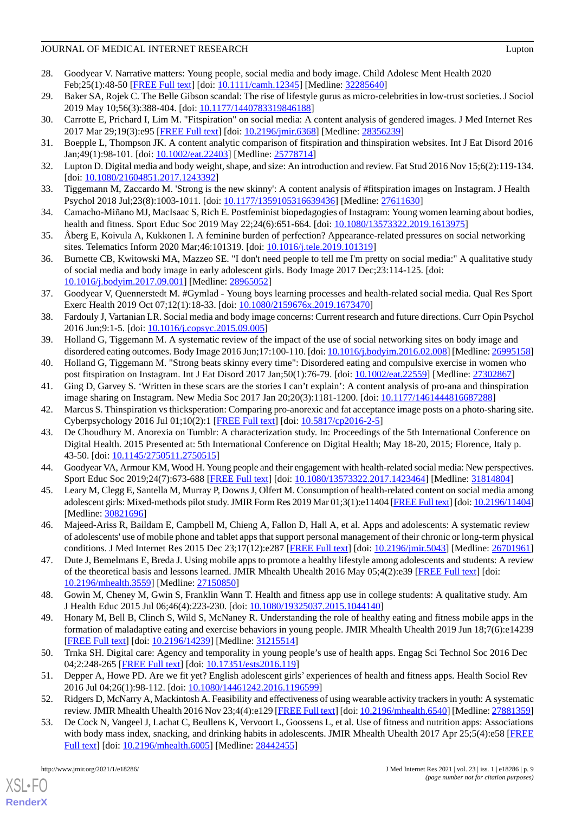## JOURNAL OF MEDICAL INTERNET RESEARCH Lupton CONSERVERSEARCH

- 28. Goodyear V. Narrative matters: Young people, social media and body image. Child Adolesc Ment Health 2020 Feb; 25(1): 48-50 [[FREE Full text](http://europepmc.org/abstract/MED/32285640)] [doi: [10.1111/camh.12345\]](http://dx.doi.org/10.1111/camh.12345) [Medline: [32285640\]](http://www.ncbi.nlm.nih.gov/entrez/query.fcgi?cmd=Retrieve&db=PubMed&list_uids=32285640&dopt=Abstract)
- <span id="page-8-1"></span><span id="page-8-0"></span>29. Baker SA, Rojek C. The Belle Gibson scandal: The rise of lifestyle gurus as micro-celebrities in low-trust societies. J Sociol 2019 May 10;56(3):388-404. [doi: [10.1177/1440783319846188](http://dx.doi.org/10.1177/1440783319846188)]
- <span id="page-8-6"></span>30. Carrotte E, Prichard I, Lim M. "Fitspiration" on social media: A content analysis of gendered images. J Med Internet Res 2017 Mar 29;19(3):e95 [[FREE Full text](https://www.jmir.org/2017/3/e95/)] [doi: [10.2196/jmir.6368](http://dx.doi.org/10.2196/jmir.6368)] [Medline: [28356239\]](http://www.ncbi.nlm.nih.gov/entrez/query.fcgi?cmd=Retrieve&db=PubMed&list_uids=28356239&dopt=Abstract)
- 31. Boepple L, Thompson JK. A content analytic comparison of fitspiration and thinspiration websites. Int J Eat Disord 2016 Jan;49(1):98-101. [doi: [10.1002/eat.22403](http://dx.doi.org/10.1002/eat.22403)] [Medline: [25778714](http://www.ncbi.nlm.nih.gov/entrez/query.fcgi?cmd=Retrieve&db=PubMed&list_uids=25778714&dopt=Abstract)]
- <span id="page-8-7"></span>32. Lupton D. Digital media and body weight, shape, and size: An introduction and review. Fat Stud 2016 Nov 15;6(2):119-134. [doi: [10.1080/21604851.2017.1243392](http://dx.doi.org/10.1080/21604851.2017.1243392)]
- <span id="page-8-2"></span>33. Tiggemann M, Zaccardo M. 'Strong is the new skinny': A content analysis of #fitspiration images on Instagram. J Health Psychol 2018 Jul;23(8):1003-1011. [doi: [10.1177/1359105316639436](http://dx.doi.org/10.1177/1359105316639436)] [Medline: [27611630\]](http://www.ncbi.nlm.nih.gov/entrez/query.fcgi?cmd=Retrieve&db=PubMed&list_uids=27611630&dopt=Abstract)
- <span id="page-8-3"></span>34. Camacho-Miñano MJ, MacIsaac S, Rich E. Postfeminist biopedagogies of Instagram: Young women learning about bodies, health and fitness. Sport Educ Soc 2019 May 22;24(6):651-664. [doi: [10.1080/13573322.2019.1613975\]](http://dx.doi.org/10.1080/13573322.2019.1613975)
- 35. Åberg E, Koivula A, Kukkonen I. A feminine burden of perfection? Appearance-related pressures on social networking sites. Telematics Inform 2020 Mar;46:101319. [doi: [10.1016/j.tele.2019.101319](http://dx.doi.org/10.1016/j.tele.2019.101319)]
- 36. Burnette CB, Kwitowski MA, Mazzeo SE. "I don't need people to tell me I'm pretty on social media:" A qualitative study of social media and body image in early adolescent girls. Body Image 2017 Dec;23:114-125. [doi: [10.1016/j.bodyim.2017.09.001](http://dx.doi.org/10.1016/j.bodyim.2017.09.001)] [Medline: [28965052\]](http://www.ncbi.nlm.nih.gov/entrez/query.fcgi?cmd=Retrieve&db=PubMed&list_uids=28965052&dopt=Abstract)
- <span id="page-8-5"></span>37. Goodyear V, Quennerstedt M. #Gymlad - Young boys learning processes and health-related social media. Qual Res Sport Exerc Health 2019 Oct 07;12(1):18-33. [doi: [10.1080/2159676x.2019.1673470](http://dx.doi.org/10.1080/2159676x.2019.1673470)]
- <span id="page-8-4"></span>38. Fardouly J, Vartanian LR. Social media and body image concerns: Current research and future directions. Curr Opin Psychol 2016 Jun;9:1-5. [doi: [10.1016/j.copsyc.2015.09.005](http://dx.doi.org/10.1016/j.copsyc.2015.09.005)]
- 39. Holland G, Tiggemann M. A systematic review of the impact of the use of social networking sites on body image and disordered eating outcomes. Body Image 2016 Jun;17:100-110. [doi: [10.1016/j.bodyim.2016.02.008](http://dx.doi.org/10.1016/j.bodyim.2016.02.008)] [Medline: [26995158](http://www.ncbi.nlm.nih.gov/entrez/query.fcgi?cmd=Retrieve&db=PubMed&list_uids=26995158&dopt=Abstract)]
- 40. Holland G, Tiggemann M. "Strong beats skinny every time": Disordered eating and compulsive exercise in women who post fitspiration on Instagram. Int J Eat Disord 2017 Jan;50(1):76-79. [doi: [10.1002/eat.22559](http://dx.doi.org/10.1002/eat.22559)] [Medline: [27302867\]](http://www.ncbi.nlm.nih.gov/entrez/query.fcgi?cmd=Retrieve&db=PubMed&list_uids=27302867&dopt=Abstract)
- <span id="page-8-8"></span>41. Ging D, Garvey S. 'Written in these scars are the stories I can't explain': A content analysis of pro-ana and thinspiration image sharing on Instagram. New Media Soc 2017 Jan 20;20(3):1181-1200. [doi: [10.1177/1461444816687288](http://dx.doi.org/10.1177/1461444816687288)]
- <span id="page-8-9"></span>42. Marcus S. Thinspiration vs thicksperation: Comparing pro-anorexic and fat acceptance image posts on a photo-sharing site. Cyberpsychology 2016 Jul 01;10(2):1 [\[FREE Full text\]](https://cyberpsychology.eu/article/view/6178/5908) [doi: [10.5817/cp2016-2-5](http://dx.doi.org/10.5817/cp2016-2-5)]
- <span id="page-8-10"></span>43. De Choudhury M. Anorexia on Tumblr: A characterization study. In: Proceedings of the 5th International Conference on Digital Health. 2015 Presented at: 5th International Conference on Digital Health; May 18-20, 2015; Florence, Italy p. 43-50. [doi: [10.1145/2750511.2750515](http://dx.doi.org/10.1145/2750511.2750515)]
- <span id="page-8-11"></span>44. Goodyear VA, Armour KM, Wood H. Young people and their engagement with health-related social media: New perspectives. Sport Educ Soc 2019;24(7):673-688 [[FREE Full text](http://europepmc.org/abstract/MED/31814804)] [doi: [10.1080/13573322.2017.1423464](http://dx.doi.org/10.1080/13573322.2017.1423464)] [Medline: [31814804](http://www.ncbi.nlm.nih.gov/entrez/query.fcgi?cmd=Retrieve&db=PubMed&list_uids=31814804&dopt=Abstract)]
- <span id="page-8-12"></span>45. Leary M, Clegg E, Santella M, Murray P, Downs J, Olfert M. Consumption of health-related content on social media among adolescent girls: Mixed-methods pilot study. JMIR Form Res 2019 Mar 01;3(1):e11404 [[FREE Full text](https://formative.jmir.org/2019/1/e11404/)] [doi: [10.2196/11404\]](http://dx.doi.org/10.2196/11404) [Medline: [30821696](http://www.ncbi.nlm.nih.gov/entrez/query.fcgi?cmd=Retrieve&db=PubMed&list_uids=30821696&dopt=Abstract)]
- <span id="page-8-13"></span>46. Majeed-Ariss R, Baildam E, Campbell M, Chieng A, Fallon D, Hall A, et al. Apps and adolescents: A systematic review of adolescents' use of mobile phone and tablet apps that support personal management of their chronic or long-term physical conditions. J Med Internet Res 2015 Dec 23;17(12):e287 [\[FREE Full text](https://www.jmir.org/2015/12/e287/)] [doi: [10.2196/jmir.5043\]](http://dx.doi.org/10.2196/jmir.5043) [Medline: [26701961](http://www.ncbi.nlm.nih.gov/entrez/query.fcgi?cmd=Retrieve&db=PubMed&list_uids=26701961&dopt=Abstract)]
- <span id="page-8-14"></span>47. Dute J, Bemelmans E, Breda J. Using mobile apps to promote a healthy lifestyle among adolescents and students: A review of the theoretical basis and lessons learned. JMIR Mhealth Uhealth 2016 May 05;4(2):e39 [\[FREE Full text\]](https://mhealth.jmir.org/2016/2/e39/) [doi: [10.2196/mhealth.3559](http://dx.doi.org/10.2196/mhealth.3559)] [Medline: [27150850](http://www.ncbi.nlm.nih.gov/entrez/query.fcgi?cmd=Retrieve&db=PubMed&list_uids=27150850&dopt=Abstract)]
- <span id="page-8-15"></span>48. Gowin M, Cheney M, Gwin S, Franklin Wann T. Health and fitness app use in college students: A qualitative study. Am J Health Educ 2015 Jul 06;46(4):223-230. [doi: [10.1080/19325037.2015.1044140](http://dx.doi.org/10.1080/19325037.2015.1044140)]
- <span id="page-8-17"></span><span id="page-8-16"></span>49. Honary M, Bell B, Clinch S, Wild S, McNaney R. Understanding the role of healthy eating and fitness mobile apps in the formation of maladaptive eating and exercise behaviors in young people. JMIR Mhealth Uhealth 2019 Jun 18;7(6):e14239 [[FREE Full text](https://mhealth.jmir.org/2019/6/e14239/)] [doi: [10.2196/14239\]](http://dx.doi.org/10.2196/14239) [Medline: [31215514\]](http://www.ncbi.nlm.nih.gov/entrez/query.fcgi?cmd=Retrieve&db=PubMed&list_uids=31215514&dopt=Abstract)
- <span id="page-8-18"></span>50. Trnka SH. Digital care: Agency and temporality in young people's use of health apps. Engag Sci Technol Soc 2016 Dec 04;2:248-265 [\[FREE Full text\]](https://estsjournal.org/index.php/ests/article/view/119/59) [doi: [10.17351/ests2016.119\]](http://dx.doi.org/10.17351/ests2016.119)
- 51. Depper A, Howe PD. Are we fit yet? English adolescent girls' experiences of health and fitness apps. Health Sociol Rev 2016 Jul 04;26(1):98-112. [doi: [10.1080/14461242.2016.1196599](http://dx.doi.org/10.1080/14461242.2016.1196599)]
- 52. Ridgers D, McNarry A, Mackintosh A. Feasibility and effectiveness of using wearable activity trackers in youth: A systematic review. JMIR Mhealth Uhealth 2016 Nov 23;4(4):e129 [[FREE Full text](https://mhealth.jmir.org/2016/4/e129/)] [doi: [10.2196/mhealth.6540\]](http://dx.doi.org/10.2196/mhealth.6540) [Medline: [27881359](http://www.ncbi.nlm.nih.gov/entrez/query.fcgi?cmd=Retrieve&db=PubMed&list_uids=27881359&dopt=Abstract)]
- 53. De Cock N, Vangeel J, Lachat C, Beullens K, Vervoort L, Goossens L, et al. Use of fitness and nutrition apps: Associations with body mass index, snacking, and drinking habits in adolescents. JMIR Mhealth Uhealth 2017 Apr 25;5(4):e58 [\[FREE](https://mhealth.jmir.org/2017/4/e58/) [Full text\]](https://mhealth.jmir.org/2017/4/e58/) [doi: [10.2196/mhealth.6005](http://dx.doi.org/10.2196/mhealth.6005)] [Medline: [28442455\]](http://www.ncbi.nlm.nih.gov/entrez/query.fcgi?cmd=Retrieve&db=PubMed&list_uids=28442455&dopt=Abstract)

[XSL](http://www.w3.org/Style/XSL)•FO **[RenderX](http://www.renderx.com/)**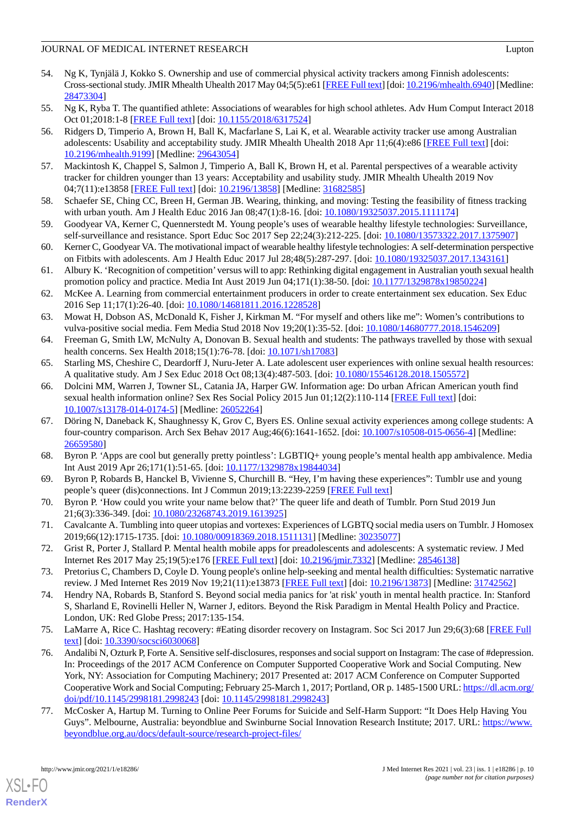#### JOURNAL OF MEDICAL INTERNET RESEARCH Lupton CONSERVERSEARCH

- <span id="page-9-0"></span>54. Ng K, Tynjälä J, Kokko S. Ownership and use of commercial physical activity trackers among Finnish adolescents: Cross-sectional study. JMIR Mhealth Uhealth 2017 May 04;5(5):e61 [\[FREE Full text\]](https://mhealth.jmir.org/2017/5/e61/) [doi: [10.2196/mhealth.6940\]](http://dx.doi.org/10.2196/mhealth.6940) [Medline: [28473304](http://www.ncbi.nlm.nih.gov/entrez/query.fcgi?cmd=Retrieve&db=PubMed&list_uids=28473304&dopt=Abstract)]
- <span id="page-9-2"></span><span id="page-9-1"></span>55. Ng K, Ryba T. The quantified athlete: Associations of wearables for high school athletes. Adv Hum Comput Interact 2018 Oct 01;2018:1-8 [\[FREE Full text\]](https://www.hindawi.com/journals/ahci/2018/6317524/) [doi: [10.1155/2018/6317524\]](http://dx.doi.org/10.1155/2018/6317524)
- 56. Ridgers D, Timperio A, Brown H, Ball K, Macfarlane S, Lai K, et al. Wearable activity tracker use among Australian adolescents: Usability and acceptability study. JMIR Mhealth Uhealth 2018 Apr 11;6(4):e86 [[FREE Full text](https://mhealth.jmir.org/2018/4/e86/)] [doi: [10.2196/mhealth.9199](http://dx.doi.org/10.2196/mhealth.9199)] [Medline: [29643054](http://www.ncbi.nlm.nih.gov/entrez/query.fcgi?cmd=Retrieve&db=PubMed&list_uids=29643054&dopt=Abstract)]
- <span id="page-9-4"></span><span id="page-9-3"></span>57. Mackintosh K, Chappel S, Salmon J, Timperio A, Ball K, Brown H, et al. Parental perspectives of a wearable activity tracker for children younger than 13 years: Acceptability and usability study. JMIR Mhealth Uhealth 2019 Nov 04;7(11):e13858 [\[FREE Full text](https://mhealth.jmir.org/2019/11/e13858/)] [doi: [10.2196/13858\]](http://dx.doi.org/10.2196/13858) [Medline: [31682585\]](http://www.ncbi.nlm.nih.gov/entrez/query.fcgi?cmd=Retrieve&db=PubMed&list_uids=31682585&dopt=Abstract)
- <span id="page-9-5"></span>58. Schaefer SE, Ching CC, Breen H, German JB. Wearing, thinking, and moving: Testing the feasibility of fitness tracking with urban youth. Am J Health Educ 2016 Jan 08;47(1):8-16. [doi: [10.1080/19325037.2015.1111174\]](http://dx.doi.org/10.1080/19325037.2015.1111174)
- <span id="page-9-6"></span>59. Goodyear VA, Kerner C, Quennerstedt M. Young people's uses of wearable healthy lifestyle technologies: Surveillance, self-surveillance and resistance. Sport Educ Soc 2017 Sep 22;24(3):212-225. [doi: [10.1080/13573322.2017.1375907](http://dx.doi.org/10.1080/13573322.2017.1375907)]
- <span id="page-9-7"></span>60. Kerner C, Goodyear VA. The motivational impact of wearable healthy lifestyle technologies: A self-determination perspective on Fitbits with adolescents. Am J Health Educ 2017 Jul 28;48(5):287-297. [doi: [10.1080/19325037.2017.1343161\]](http://dx.doi.org/10.1080/19325037.2017.1343161)
- 61. Albury K. 'Recognition of competition'versus will to app: Rethinking digital engagement in Australian youth sexual health promotion policy and practice. Media Int Aust 2019 Jun 04;171(1):38-50. [doi: [10.1177/1329878x19850224\]](http://dx.doi.org/10.1177/1329878x19850224)
- <span id="page-9-8"></span>62. McKee A. Learning from commercial entertainment producers in order to create entertainment sex education. Sex Educ 2016 Sep 11;17(1):26-40. [doi: [10.1080/14681811.2016.1228528\]](http://dx.doi.org/10.1080/14681811.2016.1228528)
- <span id="page-9-10"></span><span id="page-9-9"></span>63. Mowat H, Dobson AS, McDonald K, Fisher J, Kirkman M. "For myself and others like me": Women's contributions to vulva-positive social media. Fem Media Stud 2018 Nov 19;20(1):35-52. [doi: [10.1080/14680777.2018.1546209](http://dx.doi.org/10.1080/14680777.2018.1546209)]
- 64. Freeman G, Smith LW, McNulty A, Donovan B. Sexual health and students: The pathways travelled by those with sexual health concerns. Sex Health 2018;15(1):76-78. [doi: [10.1071/sh17083\]](http://dx.doi.org/10.1071/sh17083)
- 65. Starling MS, Cheshire C, Deardorff J, Nuru-Jeter A. Late adolescent user experiences with online sexual health resources: A qualitative study. Am J Sex Educ 2018 Oct 08;13(4):487-503. [doi: [10.1080/15546128.2018.1505572](http://dx.doi.org/10.1080/15546128.2018.1505572)]
- <span id="page-9-11"></span>66. Dolcini MM, Warren J, Towner SL, Catania JA, Harper GW. Information age: Do urban African American youth find sexual health information online? Sex Res Social Policy 2015 Jun 01;12(2):110-114 [\[FREE Full text\]](http://europepmc.org/abstract/MED/26052264) [doi: [10.1007/s13178-014-0174-5\]](http://dx.doi.org/10.1007/s13178-014-0174-5) [Medline: [26052264](http://www.ncbi.nlm.nih.gov/entrez/query.fcgi?cmd=Retrieve&db=PubMed&list_uids=26052264&dopt=Abstract)]
- <span id="page-9-13"></span><span id="page-9-12"></span>67. Döring N, Daneback K, Shaughnessy K, Grov C, Byers ES. Online sexual activity experiences among college students: A four-country comparison. Arch Sex Behav 2017 Aug;46(6):1641-1652. [doi: [10.1007/s10508-015-0656-4\]](http://dx.doi.org/10.1007/s10508-015-0656-4) [Medline: [26659580](http://www.ncbi.nlm.nih.gov/entrez/query.fcgi?cmd=Retrieve&db=PubMed&list_uids=26659580&dopt=Abstract)]
- 68. Byron P. 'Apps are cool but generally pretty pointless': LGBTIQ+ young people's mental health app ambivalence. Media Int Aust 2019 Apr 26;171(1):51-65. [doi: [10.1177/1329878x19844034](http://dx.doi.org/10.1177/1329878x19844034)]
- <span id="page-9-14"></span>69. Byron P, Robards B, Hanckel B, Vivienne S, Churchill B. "Hey, I'm having these experiences": Tumblr use and young people's queer (dis)connections. Int J Commun 2019;13:2239-2259 [[FREE Full text](https://ijoc.org/index.php/ijoc/article/view/9677/2655)]
- <span id="page-9-15"></span>70. Byron P. 'How could you write your name below that?' The queer life and death of Tumblr. Porn Stud 2019 Jun 21;6(3):336-349. [doi: [10.1080/23268743.2019.1613925\]](http://dx.doi.org/10.1080/23268743.2019.1613925)
- <span id="page-9-17"></span><span id="page-9-16"></span>71. Cavalcante A. Tumbling into queer utopias and vortexes: Experiences of LGBTQ social media users on Tumblr. J Homosex 2019;66(12):1715-1735. [doi: [10.1080/00918369.2018.1511131\]](http://dx.doi.org/10.1080/00918369.2018.1511131) [Medline: [30235077\]](http://www.ncbi.nlm.nih.gov/entrez/query.fcgi?cmd=Retrieve&db=PubMed&list_uids=30235077&dopt=Abstract)
- 72. Grist R, Porter J, Stallard P. Mental health mobile apps for preadolescents and adolescents: A systematic review. J Med Internet Res 2017 May 25;19(5):e176 [\[FREE Full text\]](https://www.jmir.org/2017/5/e176/) [doi: [10.2196/jmir.7332\]](http://dx.doi.org/10.2196/jmir.7332) [Medline: [28546138\]](http://www.ncbi.nlm.nih.gov/entrez/query.fcgi?cmd=Retrieve&db=PubMed&list_uids=28546138&dopt=Abstract)
- <span id="page-9-18"></span>73. Pretorius C, Chambers D, Coyle D. Young people's online help-seeking and mental health difficulties: Systematic narrative review. J Med Internet Res 2019 Nov 19;21(11):e13873 [[FREE Full text\]](https://www.jmir.org/2019/11/e13873/) [doi: [10.2196/13873](http://dx.doi.org/10.2196/13873)] [Medline: [31742562](http://www.ncbi.nlm.nih.gov/entrez/query.fcgi?cmd=Retrieve&db=PubMed&list_uids=31742562&dopt=Abstract)]
- <span id="page-9-19"></span>74. Hendry NA, Robards B, Stanford S. Beyond social media panics for 'at risk' youth in mental health practice. In: Stanford S, Sharland E, Rovinelli Heller N, Warner J, editors. Beyond the Risk Paradigm in Mental Health Policy and Practice. London, UK: Red Globe Press; 2017:135-154.
- <span id="page-9-20"></span>75. LaMarre A, Rice C. Hashtag recovery: #Eating disorder recovery on Instagram. Soc Sci 2017 Jun 29;6(3):68 [\[FREE Full](http://www.mdpi.com/2076-0760/6/3/68/htm) [text](http://www.mdpi.com/2076-0760/6/3/68/htm)] [doi: [10.3390/socsci6030068](http://dx.doi.org/10.3390/socsci6030068)]
- 76. Andalibi N, Ozturk P, Forte A. Sensitive self-disclosures, responses and social support on Instagram: The case of #depression. In: Proceedings of the 2017 ACM Conference on Computer Supported Cooperative Work and Social Computing. New York, NY: Association for Computing Machinery; 2017 Presented at: 2017 ACM Conference on Computer Supported Cooperative Work and Social Computing; February 25-March 1, 2017; Portland, OR p. 1485-1500 URL: [https://dl.acm.org/](https://dl.acm.org/doi/pdf/10.1145/2998181.2998243) [doi/pdf/10.1145/2998181.2998243](https://dl.acm.org/doi/pdf/10.1145/2998181.2998243) [doi: [10.1145/2998181.2998243\]](http://dx.doi.org/10.1145/2998181.2998243)
- 77. McCosker A, Hartup M. Turning to Online Peer Forums for Suicide and Self-Harm Support: "It Does Help Having You Guys". Melbourne, Australia: beyondblue and Swinburne Social Innovation Research Institute; 2017. URL: [https://www.](https://www.beyondblue.org.au/docs/default-source/research-project-files/mccosker-hartup_turning-to-online-forums_beyondblue_suicide-and-self-harm_2017.pdf?sfvrsn=e600adea_2) [beyondblue.org.au/docs/default-source/research-project-files/](https://www.beyondblue.org.au/docs/default-source/research-project-files/mccosker-hartup_turning-to-online-forums_beyondblue_suicide-and-self-harm_2017.pdf?sfvrsn=e600adea_2)

[XSL](http://www.w3.org/Style/XSL)•FO **[RenderX](http://www.renderx.com/)**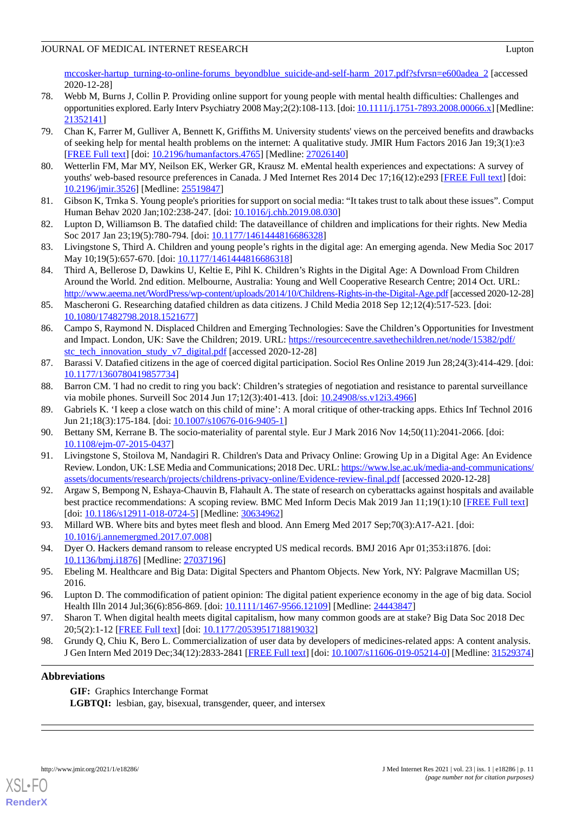[mccosker-hartup\\_turning-to-online-forums\\_beyondblue\\_suicide-and-self-harm\\_2017.pdf?sfvrsn=e600adea\\_2](https://www.beyondblue.org.au/docs/default-source/research-project-files/mccosker-hartup_turning-to-online-forums_beyondblue_suicide-and-self-harm_2017.pdf?sfvrsn=e600adea_2) [accessed 2020-12-28]

- <span id="page-10-0"></span>78. Webb M, Burns J, Collin P. Providing online support for young people with mental health difficulties: Challenges and opportunities explored. Early Interv Psychiatry 2008 May;2(2):108-113. [doi: [10.1111/j.1751-7893.2008.00066.x\]](http://dx.doi.org/10.1111/j.1751-7893.2008.00066.x) [Medline: [21352141](http://www.ncbi.nlm.nih.gov/entrez/query.fcgi?cmd=Retrieve&db=PubMed&list_uids=21352141&dopt=Abstract)]
- <span id="page-10-1"></span>79. Chan K, Farrer M, Gulliver A, Bennett K, Griffiths M. University students' views on the perceived benefits and drawbacks of seeking help for mental health problems on the internet: A qualitative study. JMIR Hum Factors 2016 Jan 19;3(1):e3 [[FREE Full text](https://humanfactors.jmir.org/2016/1/e3/)] [doi: [10.2196/humanfactors.4765\]](http://dx.doi.org/10.2196/humanfactors.4765) [Medline: [27026140](http://www.ncbi.nlm.nih.gov/entrez/query.fcgi?cmd=Retrieve&db=PubMed&list_uids=27026140&dopt=Abstract)]
- <span id="page-10-3"></span><span id="page-10-2"></span>80. Wetterlin FM, Mar MY, Neilson EK, Werker GR, Krausz M. eMental health experiences and expectations: A survey of youths' web-based resource preferences in Canada. J Med Internet Res 2014 Dec 17;16(12):e293 [[FREE Full text](https://www.jmir.org/2014/12/e293/)] [doi: [10.2196/jmir.3526](http://dx.doi.org/10.2196/jmir.3526)] [Medline: [25519847](http://www.ncbi.nlm.nih.gov/entrez/query.fcgi?cmd=Retrieve&db=PubMed&list_uids=25519847&dopt=Abstract)]
- <span id="page-10-4"></span>81. Gibson K, Trnka S. Young people's priorities for support on social media: "It takes trust to talk about these issues". Comput Human Behav 2020 Jan;102:238-247. [doi: [10.1016/j.chb.2019.08.030\]](http://dx.doi.org/10.1016/j.chb.2019.08.030)
- 82. Lupton D, Williamson B. The datafied child: The dataveillance of children and implications for their rights. New Media Soc 2017 Jan 23;19(5):780-794. [doi: [10.1177/1461444816686328\]](http://dx.doi.org/10.1177/1461444816686328)
- <span id="page-10-5"></span>83. Livingstone S, Third A. Children and young people's rights in the digital age: An emerging agenda. New Media Soc 2017 May 10;19(5):657-670. [doi: [10.1177/1461444816686318\]](http://dx.doi.org/10.1177/1461444816686318)
- <span id="page-10-6"></span>84. Third A, Bellerose D, Dawkins U, Keltie E, Pihl K. Children's Rights in the Digital Age: A Download From Children Around the World. 2nd edition. Melbourne, Australia: Young and Well Cooperative Research Centre; 2014 Oct. URL: <http://www.aeema.net/WordPress/wp-content/uploads/2014/10/Childrens-Rights-in-the-Digital-Age.pdf>[accessed 2020-12-28]
- <span id="page-10-7"></span>85. Mascheroni G. Researching datafied children as data citizens. J Child Media 2018 Sep 12;12(4):517-523. [doi: [10.1080/17482798.2018.1521677\]](http://dx.doi.org/10.1080/17482798.2018.1521677)
- <span id="page-10-8"></span>86. Campo S, Raymond N. Displaced Children and Emerging Technologies: Save the Children's Opportunities for Investment and Impact. London, UK: Save the Children; 2019. URL: [https://resourcecentre.savethechildren.net/node/15382/pdf/](https://resourcecentre.savethechildren.net/node/15382/pdf/stc_tech_innovation_study_v7_digital.pdf) [stc\\_tech\\_innovation\\_study\\_v7\\_digital.pdf](https://resourcecentre.savethechildren.net/node/15382/pdf/stc_tech_innovation_study_v7_digital.pdf) [accessed 2020-12-28]
- <span id="page-10-9"></span>87. Barassi V. Datafied citizens in the age of coerced digital participation. Sociol Res Online 2019 Jun 28;24(3):414-429. [doi: [10.1177/1360780419857734\]](http://dx.doi.org/10.1177/1360780419857734)
- 88. Barron CM. 'I had no credit to ring you back': Children's strategies of negotiation and resistance to parental surveillance via mobile phones. Surveill Soc 2014 Jun 17;12(3):401-413. [doi: [10.24908/ss.v12i3.4966](http://dx.doi.org/10.24908/ss.v12i3.4966)]
- <span id="page-10-10"></span>89. Gabriels K. 'I keep a close watch on this child of mine': A moral critique of other-tracking apps. Ethics Inf Technol 2016 Jun 21;18(3):175-184. [doi: [10.1007/s10676-016-9405-1](http://dx.doi.org/10.1007/s10676-016-9405-1)]
- <span id="page-10-11"></span>90. Bettany SM, Kerrane B. The socio-materiality of parental style. Eur J Mark 2016 Nov 14;50(11):2041-2066. [doi: [10.1108/ejm-07-2015-0437\]](http://dx.doi.org/10.1108/ejm-07-2015-0437)
- 91. Livingstone S, Stoilova M, Nandagiri R. Children's Data and Privacy Online: Growing Up in a Digital Age: An Evidence Review. London, UK: LSE Media and Communications; 2018 Dec. URL: [https://www.lse.ac.uk/media-and-communications/](https://www.lse.ac.uk/media-and-communications/assets/documents/research/projects/childrens-privacy-online/Evidence-review-final.pdf) [assets/documents/research/projects/childrens-privacy-online/Evidence-review-final.pdf](https://www.lse.ac.uk/media-and-communications/assets/documents/research/projects/childrens-privacy-online/Evidence-review-final.pdf) [accessed 2020-12-28]
- <span id="page-10-12"></span>92. Argaw S, Bempong N, Eshaya-Chauvin B, Flahault A. The state of research on cyberattacks against hospitals and available best practice recommendations: A scoping review. BMC Med Inform Decis Mak 2019 Jan 11;19(1):10 [\[FREE Full text\]](https://bmcmedinformdecismak.biomedcentral.com/articles/10.1186/s12911-018-0724-5) [doi: [10.1186/s12911-018-0724-5](http://dx.doi.org/10.1186/s12911-018-0724-5)] [Medline: [30634962\]](http://www.ncbi.nlm.nih.gov/entrez/query.fcgi?cmd=Retrieve&db=PubMed&list_uids=30634962&dopt=Abstract)
- <span id="page-10-13"></span>93. Millard WB. Where bits and bytes meet flesh and blood. Ann Emerg Med 2017 Sep;70(3):A17-A21. [doi: [10.1016/j.annemergmed.2017.07.008](http://dx.doi.org/10.1016/j.annemergmed.2017.07.008)]
- 94. Dyer O. Hackers demand ransom to release encrypted US medical records. BMJ 2016 Apr 01;353:i1876. [doi: [10.1136/bmj.i1876\]](http://dx.doi.org/10.1136/bmj.i1876) [Medline: [27037196](http://www.ncbi.nlm.nih.gov/entrez/query.fcgi?cmd=Retrieve&db=PubMed&list_uids=27037196&dopt=Abstract)]
- <span id="page-10-14"></span>95. Ebeling M. Healthcare and Big Data: Digital Specters and Phantom Objects. New York, NY: Palgrave Macmillan US; 2016.
- 96. Lupton D. The commodification of patient opinion: The digital patient experience economy in the age of big data. Sociol Health Illn 2014 Jul;36(6):856-869. [doi: [10.1111/1467-9566.12109](http://dx.doi.org/10.1111/1467-9566.12109)] [Medline: [24443847](http://www.ncbi.nlm.nih.gov/entrez/query.fcgi?cmd=Retrieve&db=PubMed&list_uids=24443847&dopt=Abstract)]
- 97. Sharon T. When digital health meets digital capitalism, how many common goods are at stake? Big Data Soc 2018 Dec 20;5(2):1-12 [[FREE Full text](https://journals.sagepub.com/doi/full/10.1177/2053951718819032)] [doi: [10.1177/2053951718819032\]](http://dx.doi.org/10.1177/2053951718819032)
- 98. Grundy Q, Chiu K, Bero L. Commercialization of user data by developers of medicines-related apps: A content analysis. J Gen Intern Med 2019 Dec;34(12):2833-2841 [\[FREE Full text\]](http://europepmc.org/abstract/MED/31529374) [doi: [10.1007/s11606-019-05214-0](http://dx.doi.org/10.1007/s11606-019-05214-0)] [Medline: [31529374](http://www.ncbi.nlm.nih.gov/entrez/query.fcgi?cmd=Retrieve&db=PubMed&list_uids=31529374&dopt=Abstract)]

## **Abbreviations**

**GIF:** Graphics Interchange Format LGBTQI: lesbian, gay, bisexual, transgender, queer, and intersex